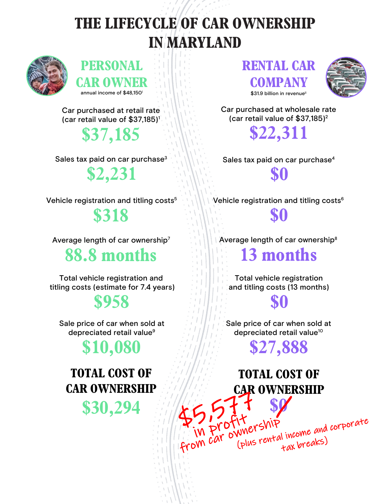# **THE LIFECYCLE OF CAR OWNERSHIP IN MARYLAND**





Car purchased at retail rate (car retail value of \$37,185)1

**\$37,185**

Sales tax paid on car purchase<sup>3</sup>

**\$2,231**

Vehicle registration and titling costs<sup>5</sup>

**\$318**

Average length of car ownership7

**88.8 months**

Total vehicle registration and titling costs (estimate for 7.4 years)

**\$958**

Sale price of car when sold at depreciated retail value<sup>9</sup>

## **\$10,080**

### **TOTAL COST OF CAR OWNERSHIP**

 $$30,294$   $$5577$ 

#### **RENTAL CAR COMPANY** \$31.9 billion in revenue<sup>ii</sup>



Car purchased at wholesale rate (car retail value of \$37,185)2

**\$22,311**

Sales tax paid on car purchase<sup>4</sup>

**\$0**

Vehicle registration and titling costs<sup>6</sup> **\$0**

Average length of car ownership<sup>8</sup>

**13 months**

Total vehicle registration and titling costs (13 months)

**\$0**

Sale price of car when sold at depreciated retail value<sup>10</sup>

**\$27,888**

### **TOTAL COST OF CAR OWNERSHIP \$0** /

From car ownership<br>from car ownership

**IT**<br>NNEYSNIP<br>(plus rental income and corporate<br><sub>tax</sub> breaks)